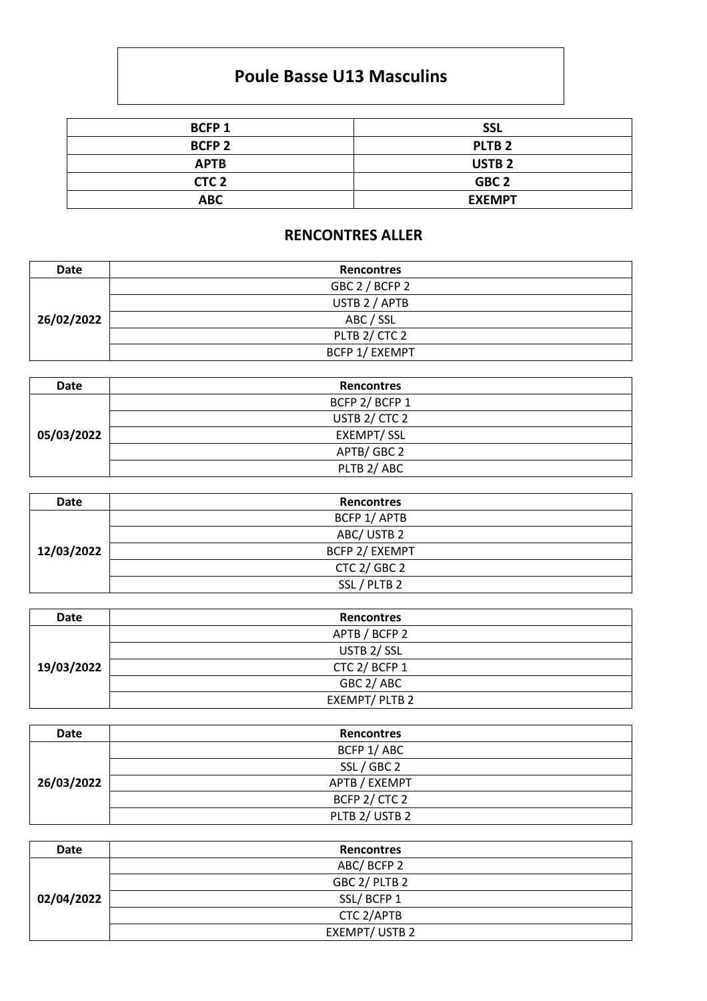## **Poule Basse U13 Masculins**

| <b>BCFP1</b>     | <b>SSL</b>        |
|------------------|-------------------|
| <b>BCFP 2</b>    | PLTB <sub>2</sub> |
| <b>APTB</b>      | <b>USTB2</b>      |
| CTC <sub>2</sub> | GBC <sub>2</sub>  |
| <b>ABC</b>       | <b>EXEMPT</b>     |

## **RENCONTRES ALLER**

| Date       | <b>Rencontres</b>     |
|------------|-----------------------|
| 26/02/2022 | GBC 2 / BCFP 2        |
|            | USTB 2 / APTB         |
|            | ABC / SSL             |
|            | PLTB 2/ CTC 2         |
|            | <b>BCFP 1/ EXEMPT</b> |

| <b>Date</b> | <b>Rencontres</b> |
|-------------|-------------------|
| 05/03/2022  | BCFP 2/BCFP 1     |
|             | USTB 2/ CTC 2     |
|             | <b>EXEMPT/SSL</b> |
|             | APTB/GBC 2        |
|             | PLTB 2/ABC        |

| <b>Date</b> | <b>Rencontres</b> |
|-------------|-------------------|
| 12/03/2022  | BCFP 1/ APTB      |
|             | ABC/USTB 2        |
|             | BCFP 2/ EXEMPT    |
|             | CTC 2/ GBC 2      |
|             | SSL / PLTB 2      |

| Date       | <b>Rencontres</b> |
|------------|-------------------|
| 19/03/2022 | APTB / BCFP 2     |
|            | USTB 2/SSL        |
|            | CTC 2/ BCFP 1     |
|            | GBC 2/ABC         |
|            | EXEMPT/PLTB2      |

| Date       | <b>Rencontres</b> |
|------------|-------------------|
| 26/03/2022 | BCFP 1/ABC        |
|            | SSL / GBC 2       |
|            | APTB / EXEMPT     |
|            | BCFP 2/ CTC 2     |
|            | PLTB 2/ USTB 2    |

| <b>Date</b> | <b>Rencontres</b>     |
|-------------|-----------------------|
| 02/04/2022  | ABC/BCFP 2            |
|             | GBC 2/ PLTB 2         |
|             | SSL/BCFP 1            |
|             | CTC 2/APTB            |
|             | <b>EXEMPT/ USTB 2</b> |